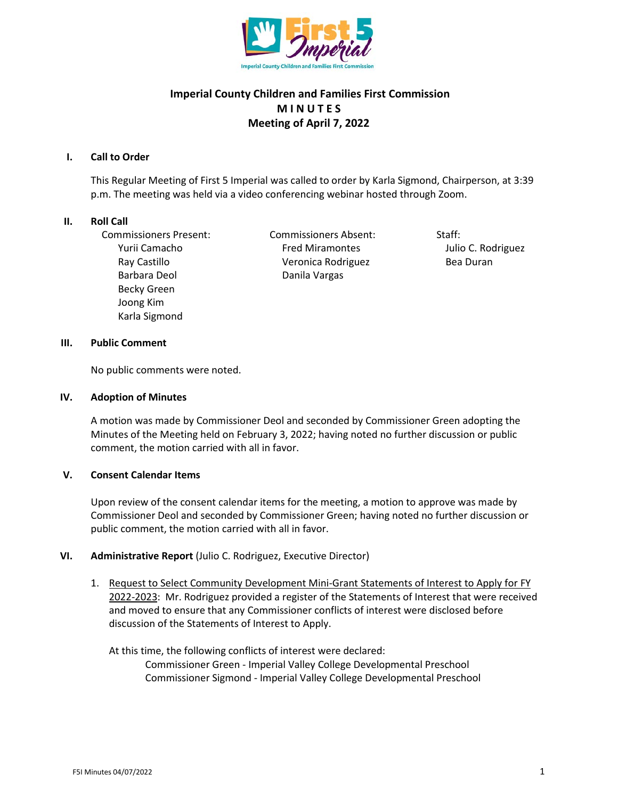

# **Imperial County Children and Families First Commission M I N U T E S Meeting of April 7, 2022**

# **I. Call to Order**

This Regular Meeting of First 5 Imperial was called to order by Karla Sigmond, Chairperson, at 3:39 p.m. The meeting was held via a video conferencing webinar hosted through Zoom.

# **II. Roll Call**

Commissioners Present: Commissioners Absent: Staff: Barbara Deol Danila Vargas Becky Green Joong Kim Karla Sigmond

Yurii Camacho **Fred Miramontes** Julio C. Rodriguez Ray Castillo **Castillo Castillo** Veronica Rodriguez **Bea Duran** 

# **III. Public Comment**

No public comments were noted.

# **IV. Adoption of Minutes**

A motion was made by Commissioner Deol and seconded by Commissioner Green adopting the Minutes of the Meeting held on February 3, 2022; having noted no further discussion or public comment, the motion carried with all in favor.

# **V. Consent Calendar Items**

Upon review of the consent calendar items for the meeting, a motion to approve was made by Commissioner Deol and seconded by Commissioner Green; having noted no further discussion or public comment, the motion carried with all in favor.

# **VI. Administrative Report** (Julio C. Rodriguez, Executive Director)

1. Request to Select Community Development Mini-Grant Statements of Interest to Apply for FY 2022-2023: Mr. Rodriguez provided a register of the Statements of Interest that were received and moved to ensure that any Commissioner conflicts of interest were disclosed before discussion of the Statements of Interest to Apply.

At this time, the following conflicts of interest were declared: Commissioner Green - Imperial Valley College Developmental Preschool Commissioner Sigmond - Imperial Valley College Developmental Preschool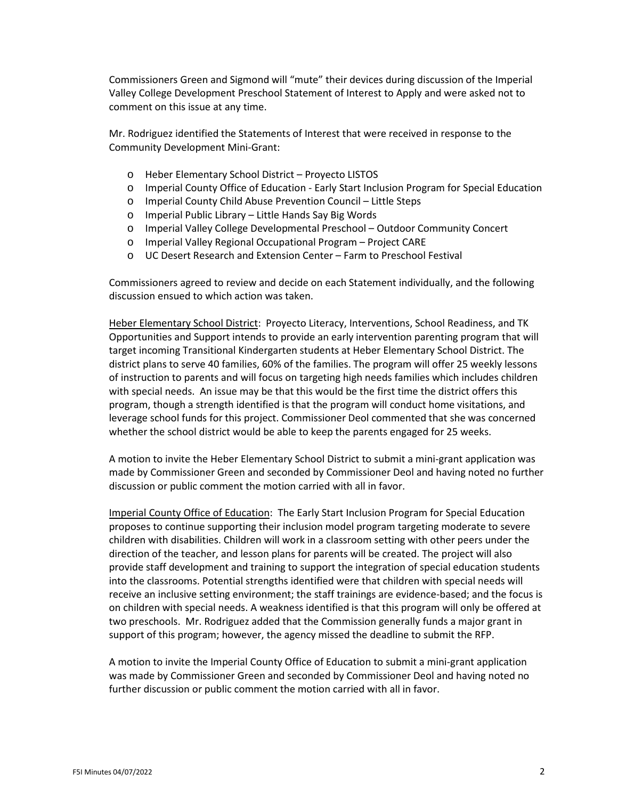Commissioners Green and Sigmond will "mute" their devices during discussion of the Imperial Valley College Development Preschool Statement of Interest to Apply and were asked not to comment on this issue at any time.

Mr. Rodriguez identified the Statements of Interest that were received in response to the Community Development Mini-Grant:

- o Heber Elementary School District Proyecto LISTOS
- o Imperial County Office of Education Early Start Inclusion Program for Special Education
- o Imperial County Child Abuse Prevention Council Little Steps
- o Imperial Public Library Little Hands Say Big Words
- o Imperial Valley College Developmental Preschool Outdoor Community Concert
- o Imperial Valley Regional Occupational Program Project CARE
- o UC Desert Research and Extension Center Farm to Preschool Festival

Commissioners agreed to review and decide on each Statement individually, and the following discussion ensued to which action was taken.

Heber Elementary School District: Proyecto Literacy, Interventions, School Readiness, and TK Opportunities and Support intends to provide an early intervention parenting program that will target incoming Transitional Kindergarten students at Heber Elementary School District. The district plans to serve 40 families, 60% of the families. The program will offer 25 weekly lessons of instruction to parents and will focus on targeting high needs families which includes children with special needs. An issue may be that this would be the first time the district offers this program, though a strength identified is that the program will conduct home visitations, and leverage school funds for this project. Commissioner Deol commented that she was concerned whether the school district would be able to keep the parents engaged for 25 weeks.

A motion to invite the Heber Elementary School District to submit a mini-grant application was made by Commissioner Green and seconded by Commissioner Deol and having noted no further discussion or public comment the motion carried with all in favor.

Imperial County Office of Education: The Early Start Inclusion Program for Special Education proposes to continue supporting their inclusion model program targeting moderate to severe children with disabilities. Children will work in a classroom setting with other peers under the direction of the teacher, and lesson plans for parents will be created. The project will also provide staff development and training to support the integration of special education students into the classrooms. Potential strengths identified were that children with special needs will receive an inclusive setting environment; the staff trainings are evidence-based; and the focus is on children with special needs. A weakness identified is that this program will only be offered at two preschools. Mr. Rodriguez added that the Commission generally funds a major grant in support of this program; however, the agency missed the deadline to submit the RFP.

A motion to invite the Imperial County Office of Education to submit a mini-grant application was made by Commissioner Green and seconded by Commissioner Deol and having noted no further discussion or public comment the motion carried with all in favor.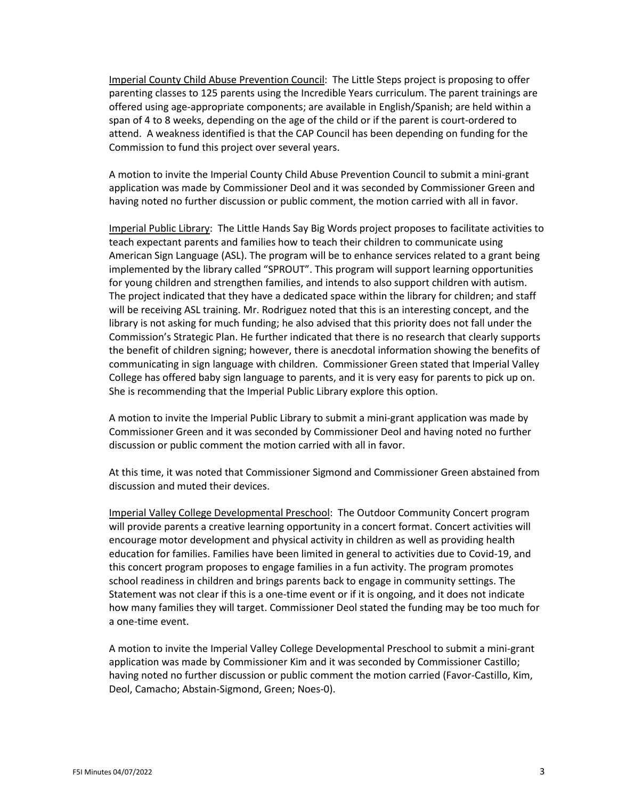Imperial County Child Abuse Prevention Council: The Little Steps project is proposing to offer parenting classes to 125 parents using the Incredible Years curriculum. The parent trainings are offered using age-appropriate components; are available in English/Spanish; are held within a span of 4 to 8 weeks, depending on the age of the child or if the parent is court-ordered to attend. A weakness identified is that the CAP Council has been depending on funding for the Commission to fund this project over several years.

A motion to invite the Imperial County Child Abuse Prevention Council to submit a mini-grant application was made by Commissioner Deol and it was seconded by Commissioner Green and having noted no further discussion or public comment, the motion carried with all in favor.

Imperial Public Library: The Little Hands Say Big Words project proposes to facilitate activities to teach expectant parents and families how to teach their children to communicate using American Sign Language (ASL). The program will be to enhance services related to a grant being implemented by the library called "SPROUT". This program will support learning opportunities for young children and strengthen families, and intends to also support children with autism. The project indicated that they have a dedicated space within the library for children; and staff will be receiving ASL training. Mr. Rodriguez noted that this is an interesting concept, and the library is not asking for much funding; he also advised that this priority does not fall under the Commission's Strategic Plan. He further indicated that there is no research that clearly supports the benefit of children signing; however, there is anecdotal information showing the benefits of communicating in sign language with children. Commissioner Green stated that Imperial Valley College has offered baby sign language to parents, and it is very easy for parents to pick up on. She is recommending that the Imperial Public Library explore this option.

A motion to invite the Imperial Public Library to submit a mini-grant application was made by Commissioner Green and it was seconded by Commissioner Deol and having noted no further discussion or public comment the motion carried with all in favor.

At this time, it was noted that Commissioner Sigmond and Commissioner Green abstained from discussion and muted their devices.

Imperial Valley College Developmental Preschool: The Outdoor Community Concert program will provide parents a creative learning opportunity in a concert format. Concert activities will encourage motor development and physical activity in children as well as providing health education for families. Families have been limited in general to activities due to Covid-19, and this concert program proposes to engage families in a fun activity. The program promotes school readiness in children and brings parents back to engage in community settings. The Statement was not clear if this is a one-time event or if it is ongoing, and it does not indicate how many families they will target. Commissioner Deol stated the funding may be too much for a one-time event.

A motion to invite the Imperial Valley College Developmental Preschool to submit a mini-grant application was made by Commissioner Kim and it was seconded by Commissioner Castillo; having noted no further discussion or public comment the motion carried (Favor-Castillo, Kim, Deol, Camacho; Abstain-Sigmond, Green; Noes-0).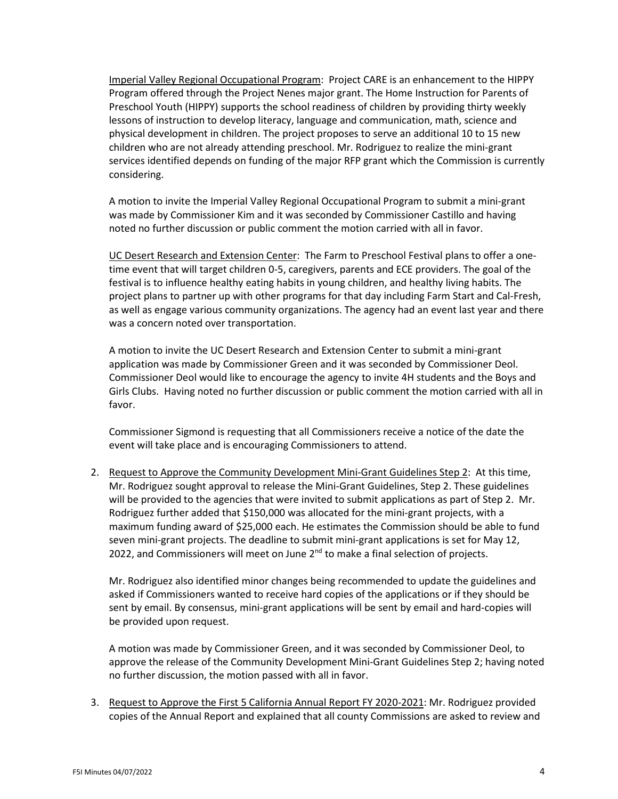Imperial Valley Regional Occupational Program: Project CARE is an enhancement to the HIPPY Program offered through the Project Nenes major grant. The Home Instruction for Parents of Preschool Youth (HIPPY) supports the school readiness of children by providing thirty weekly lessons of instruction to develop literacy, language and communication, math, science and physical development in children. The project proposes to serve an additional 10 to 15 new children who are not already attending preschool. Mr. Rodriguez to realize the mini-grant services identified depends on funding of the major RFP grant which the Commission is currently considering.

A motion to invite the Imperial Valley Regional Occupational Program to submit a mini-grant was made by Commissioner Kim and it was seconded by Commissioner Castillo and having noted no further discussion or public comment the motion carried with all in favor.

UC Desert Research and Extension Center: The Farm to Preschool Festival plans to offer a onetime event that will target children 0-5, caregivers, parents and ECE providers. The goal of the festival is to influence healthy eating habits in young children, and healthy living habits. The project plans to partner up with other programs for that day including Farm Start and Cal-Fresh, as well as engage various community organizations. The agency had an event last year and there was a concern noted over transportation.

A motion to invite the UC Desert Research and Extension Center to submit a mini-grant application was made by Commissioner Green and it was seconded by Commissioner Deol. Commissioner Deol would like to encourage the agency to invite 4H students and the Boys and Girls Clubs. Having noted no further discussion or public comment the motion carried with all in favor.

Commissioner Sigmond is requesting that all Commissioners receive a notice of the date the event will take place and is encouraging Commissioners to attend.

2. Request to Approve the Community Development Mini-Grant Guidelines Step 2: At this time, Mr. Rodriguez sought approval to release the Mini-Grant Guidelines, Step 2. These guidelines will be provided to the agencies that were invited to submit applications as part of Step 2. Mr. Rodriguez further added that \$150,000 was allocated for the mini-grant projects, with a maximum funding award of \$25,000 each. He estimates the Commission should be able to fund seven mini-grant projects. The deadline to submit mini-grant applications is set for May 12, 2022, and Commissioners will meet on June  $2<sup>nd</sup>$  to make a final selection of projects.

Mr. Rodriguez also identified minor changes being recommended to update the guidelines and asked if Commissioners wanted to receive hard copies of the applications or if they should be sent by email. By consensus, mini-grant applications will be sent by email and hard-copies will be provided upon request.

A motion was made by Commissioner Green, and it was seconded by Commissioner Deol, to approve the release of the Community Development Mini-Grant Guidelines Step 2; having noted no further discussion, the motion passed with all in favor.

3. Request to Approve the First 5 California Annual Report FY 2020-2021: Mr. Rodriguez provided copies of the Annual Report and explained that all county Commissions are asked to review and